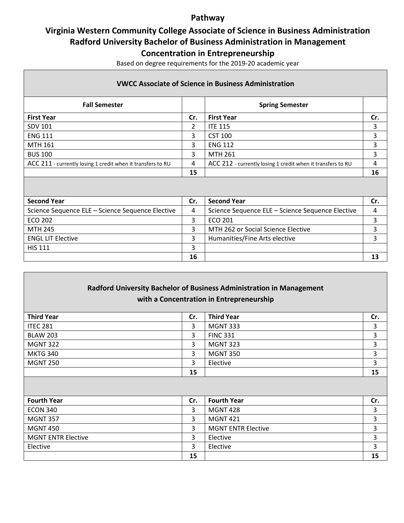## **Pathway**

# **Virginia Western Community College Associate of Science in Business Administration Radford University Bachelor of Business Administration in Management**

**Concentration in Entrepreneurship**

Based on degree requirements for the 2019-20 academic year

### **VWCC Associate of Science in Business Administration**

| <b>Fall Semester</b>                                        |     | <b>Spring Semester</b>                                      |    |
|-------------------------------------------------------------|-----|-------------------------------------------------------------|----|
| <b>First Year</b>                                           | Cr. | <b>First Year</b>                                           |    |
| <b>SDV 101</b>                                              | 2   | <b>ITE 115</b>                                              |    |
| <b>ENG 111</b>                                              | 3   | <b>CST 100</b>                                              |    |
| <b>MTH 161</b>                                              | 3   | <b>ENG 112</b>                                              |    |
| <b>BUS 100</b>                                              | 3   | <b>MTH 261</b>                                              |    |
| ACC 211 - currently losing 1 credit when it transfers to RU | 4   | ACC 212 - currently losing 1 credit when it transfers to RU |    |
|                                                             | 15  |                                                             | 16 |

| <b>Second Year</b>                               | Cr. | <b>Second Year</b>                               | Cr. |
|--------------------------------------------------|-----|--------------------------------------------------|-----|
| Science Sequence ELE - Science Sequence Elective | 4   | Science Sequence ELE - Science Sequence Elective |     |
| ECO 202                                          |     | ECO 201                                          |     |
| MTH 245                                          |     | MTH 262 or Social Science Elective               |     |
| <b>ENGL LIT Elective</b>                         |     | Humanities/Fine Arts elective                    |     |
| <b>HIS 111</b>                                   |     |                                                  |     |
|                                                  | 16  |                                                  | 13  |

| Radford University Bachelor of Business Administration in Management<br>with a Concentration in Entrepreneurship |     |                           |     |  |  |  |
|------------------------------------------------------------------------------------------------------------------|-----|---------------------------|-----|--|--|--|
| <b>Third Year</b>                                                                                                | Cr. | <b>Third Year</b>         | Cr. |  |  |  |
| <b>ITEC 281</b>                                                                                                  | 3   | <b>MGNT 333</b>           | 3   |  |  |  |
| <b>BLAW 203</b>                                                                                                  | 3   | <b>FINC 331</b>           | 3   |  |  |  |
| <b>MGNT 322</b>                                                                                                  | 3   | <b>MGNT 323</b>           | 3   |  |  |  |
| <b>MKTG 340</b>                                                                                                  | 3   | <b>MGNT 350</b>           | 3   |  |  |  |
| <b>MGNT 250</b>                                                                                                  | 3   | Elective                  | 3   |  |  |  |
|                                                                                                                  | 15  |                           | 15  |  |  |  |
|                                                                                                                  |     |                           |     |  |  |  |
| <b>Fourth Year</b>                                                                                               | Cr. | <b>Fourth Year</b>        | Cr. |  |  |  |
| <b>ECON 340</b>                                                                                                  | 3   | <b>MGNT 428</b>           | 3   |  |  |  |
| <b>MGNT 357</b>                                                                                                  | 3   | <b>MGNT 421</b>           | 3   |  |  |  |
| <b>MGNT 450</b>                                                                                                  | 3   | <b>MGNT ENTR Elective</b> | 3   |  |  |  |
| <b>MGNT ENTR Elective</b>                                                                                        | 3   | Elective                  | 3   |  |  |  |
| Elective                                                                                                         | 3   | Elective                  | 3   |  |  |  |
|                                                                                                                  | 15  |                           | 15  |  |  |  |